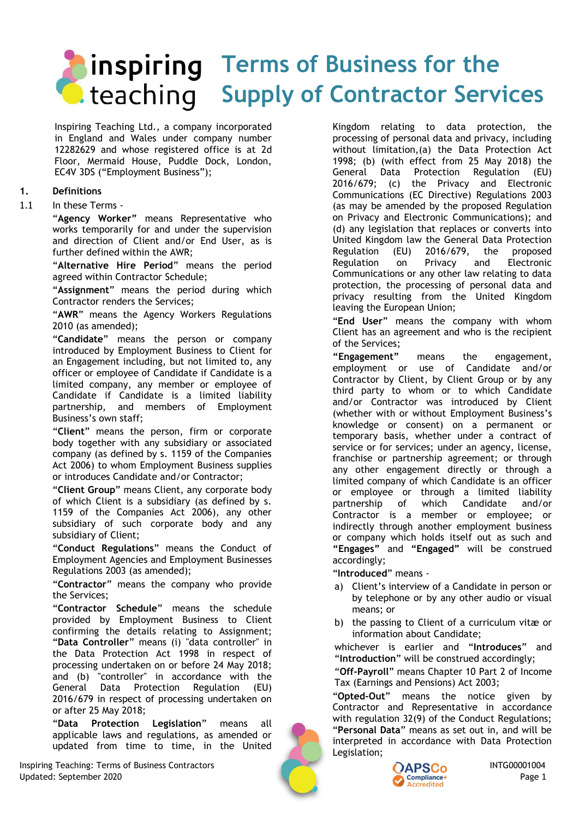# **Terms of Business for the C.** teaching Supply of Contractor Services

<span id="page-0-0"></span>Inspiring Teaching Ltd., a company incorporated in England and Wales under company number 12282629 and whose registered office is at 2d Floor, Mermaid House, Puddle Dock, London, EC4V 3DS ("Employment Business");

## **1. Definitions**

#### 1.1 In these Terms -

"**Agency Worker"** means Representative who works temporarily for and under the supervision and direction of Client and/or End User, as is further defined within the AWR;

"**Alternative Hire Period**" means the period agreed within Contractor Schedule;

"**Assignment**" means the period during which Contractor renders the Services;

"**AWR**" means the Agency Workers Regulations 2010 (as amended);

"**Candidate**" means the person or company introduced by Employment Business to Client for an Engagement including, but not limited to, any officer or employee of Candidate if Candidate is a limited company, any member or employee of Candidate if Candidate is a limited liability partnership, and members of Employment Business's own staff;

"**Client**" means the person, firm or corporate body together with any subsidiary or associated company (as defined by s. 1159 of the Companies Act 2006) to whom Employment Business supplies or introduces Candidate and/or Contractor;

"**Client Group**" means Client, any corporate body of which Client is a subsidiary (as defined by s. 1159 of the Companies Act 2006), any other subsidiary of such corporate body and any subsidiary of Client;

"**Conduct Regulations**" means the Conduct of Employment Agencies and Employment Businesses Regulations 2003 (as amended);

"**Contractor**" means the company who provide the Services;

"**Contractor Schedule**" means the schedule provided by Employment Business to Client confirming the details relating to Assignment; "**Data Controller**" means (i) "data controller" in the Data Protection Act 1998 in respect of processing undertaken on or before 24 May 2018; and (b) "controller" in accordance with the General Data Protection Regulation (EU) 2016/679 in respect of processing undertaken on or after 25 May 2018;

"**Data Protection Legislation**" means all applicable laws and regulations, as amended or updated from time to time, in the United

Inspiring Teaching: Terms of Business Contractors **Inspiring Teaching: Terms of Business Contractors** INTG00001004<br>Updated: September 2020 Page 1 Updated: September 2020 Page 1

Kingdom relating to data protection, the processing of personal data and privacy, including without limitation,(a) the Data Protection Act 1998; (b) (with effect from 25 May 2018) the General Data Protection Regulation (EU) 2016/679; (c) the Privacy and Electronic Communications (EC Directive) Regulations 2003 (as may be amended by the proposed Regulation on Privacy and Electronic Communications); and (d) any legislation that replaces or converts into United Kingdom law the General Data Protection Regulation (EU) 2016/679, the proposed Regulation on Privacy and Electronic Communications or any other law relating to data protection, the processing of personal data and privacy resulting from the United Kingdom leaving the European Union;

"**End User**" means the company with whom Client has an agreement and who is the recipient of the Services;

**"Engagement"** means the engagement, employment or use of Candidate and/or Contractor by Client, by Client Group or by any third party to whom or to which Candidate and/or Contractor was introduced by Client (whether with or without Employment Business's knowledge or consent) on a permanent or temporary basis, whether under a contract of service or for services; under an agency, license, franchise or partnership agreement; or through any other engagement directly or through a limited company of which Candidate is an officer or employee or through a limited liability partnership of which Candidate and/or Contractor is a member or employee; or indirectly through another employment business or company which holds itself out as such and **"Engages"** and **"Engaged"** will be construed accordingly;

"**Introduced**" means -

- a) Client's interview of a Candidate in person or by telephone or by any other audio or visual means; or
- b) the passing to Client of a curriculum vitæ or information about Candidate;

whichever is earlier and "**Introduces**" and "**Introduction**" will be construed accordingly;

"**Off-Payroll**" means Chapter 10 Part 2 of Income Tax (Earnings and Pensions) Act 2003;

"**Opted-Out**" means the notice given by Contractor and Representative in accordance with regulation 32(9) of the Conduct Regulations; "**Personal Data**" means as set out in, and will be interpreted in accordance with Data Protection Legislation;

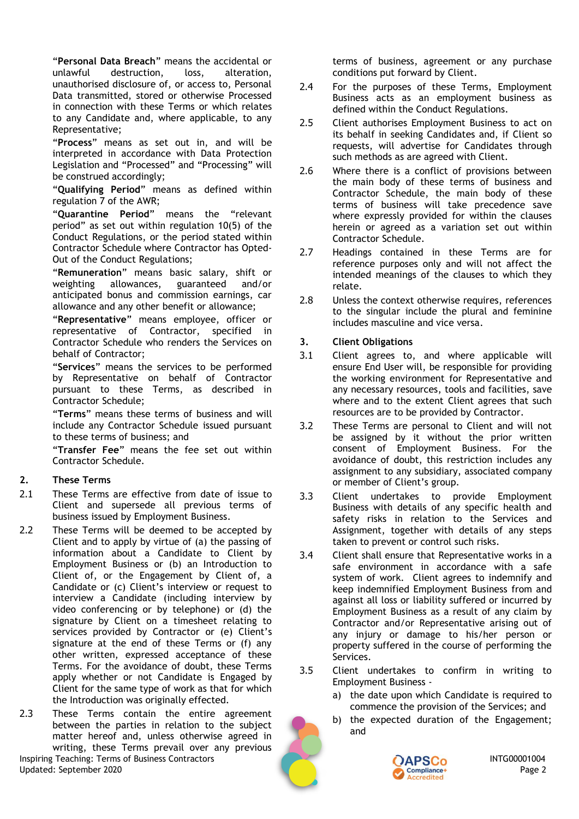"**Personal Data Breach**" means the accidental or unlawful destruction, loss, alteration, unauthorised disclosure of, or access to, Personal Data transmitted, stored or otherwise Processed in connection with these Terms or which relates to any Candidate and, where applicable, to any Representative;

"**Process**" means as set out in, and will be interpreted in accordance with Data Protection Legislation and "Processed" and "Processing" will be construed accordingly;

"**Qualifying Period**" means as defined within regulation 7 of the AWR;

"**Quarantine Period**" means the "relevant period" as set out within regulation 10(5) of the Conduct Regulations, or the period stated within Contractor Schedule where Contractor has Opted-Out of the Conduct Regulations;

"**Remuneration**" means basic salary, shift or weighting allowances, guaranteed anticipated bonus and commission earnings, car allowance and any other benefit or allowance;

"**Representative**" means employee, officer or representative of Contractor, specified in Contractor Schedule who renders the Services on behalf of Contractor;

"**Services**" means the services to be performed by Representative on behalf of Contractor pursuant to these Terms, as described in Contractor Schedule;

"**Terms**" means these terms of business and will include any Contractor Schedule issued pursuant to these terms of business; and

"**Transfer Fee**" means the fee set out within Contractor Schedule.

#### <span id="page-1-0"></span>**2. These Terms**

- 2.1 These Terms are effective from date of issue to Client and supersede all previous terms of business issued by Employment Business.
- <span id="page-1-1"></span>2.2 These Terms will be deemed to be accepted by Client and to apply by virtue of (a) the passing of information about a Candidate to Client by Employment Business or (b) an Introduction to Client of, or the Engagement by Client of, a Candidate or (c) Client's interview or request to interview a Candidate (including interview by video conferencing or by telephone) or (d) the signature by Client on a timesheet relating to services provided by Contractor or (e) Client's signature at the end of these Terms or (f) any other written, expressed acceptance of these Terms. For the avoidance of doubt, these Terms apply whether or not Candidate is Engaged by Client for the same type of work as that for which the Introduction was originally effected.
- 2.3 These Terms contain the entire agreement between the parties in relation to the subject matter hereof and, unless otherwise agreed in writing, these Terms prevail over any previous

Inspiring Teaching: Terms of Business Contractors **INTG00001004 CAPSCo** INTG00001004 Updated: September 2020 Page 2

terms of business, agreement or any purchase conditions put forward by Client.

- 2.4 For the purposes of these Terms, Employment Business acts as an employment business as defined within the Conduct Regulations.
- 2.5 Client authorises Employment Business to act on its behalf in seeking Candidates and, if Client so requests, will advertise for Candidates through such methods as are agreed with Client.
- 2.6 Where there is a conflict of provisions between the main body of these terms of business and Contractor Schedule, the main body of these terms of business will take precedence save where expressly provided for within the clauses herein or agreed as a variation set out within Contractor Schedule.
- 2.7 Headings contained in these Terms are for reference purposes only and will not affect the intended meanings of the clauses to which they relate.
- 2.8 Unless the context otherwise requires, references to the singular include the plural and feminine includes masculine and vice versa.

#### **3. Client Obligations**

- 3.1 Client agrees to, and where applicable will ensure End User will, be responsible for providing the working environment for Representative and any necessary resources, tools and facilities, save where and to the extent Client agrees that such resources are to be provided by Contractor.
- 3.2 These Terms are personal to Client and will not be assigned by it without the prior written consent of Employment Business. For the avoidance of doubt, this restriction includes any assignment to any subsidiary, associated company or member of Client's group.
- 3.3 Client undertakes to provide Employment Business with details of any specific health and safety risks in relation to the Services and Assignment, together with details of any steps taken to prevent or control such risks.
- 3.4 Client shall ensure that Representative works in a safe environment in accordance with a safe system of work. Client agrees to indemnify and keep indemnified Employment Business from and against all loss or liability suffered or incurred by Employment Business as a result of any claim by Contractor and/or Representative arising out of any injury or damage to his/her person or property suffered in the course of performing the Services.
- 3.5 Client undertakes to confirm in writing to Employment Business
	- a) the date upon which Candidate is required to commence the provision of the Services; and
	- b) the expected duration of the Engagement; and

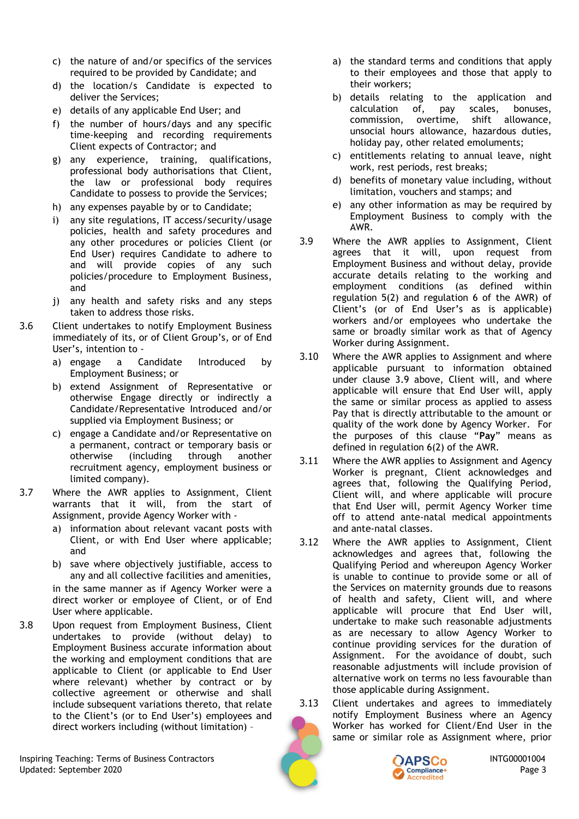- c) the nature of and/or specifics of the services required to be provided by Candidate; and
- d) the location/s Candidate is expected to deliver the Services;
- e) details of any applicable End User; and
- f) the number of hours/days and any specific time-keeping and recording requirements Client expects of Contractor; and
- g) any experience, training, qualifications, professional body authorisations that Client, the law or professional body requires Candidate to possess to provide the Services;
- h) any expenses payable by or to Candidate;
- i) any site regulations, IT access/security/usage policies, health and safety procedures and any other procedures or policies Client (or End User) requires Candidate to adhere to and will provide copies of any such policies/procedure to Employment Business, and
- j) any health and safety risks and any steps taken to address those risks.
- <span id="page-2-2"></span>3.6 Client undertakes to notify Employment Business immediately of its, or of Client Group's, or of End User's, intention to
	- a) engage a Candidate Introduced by Employment Business; or
	- b) extend Assignment of Representative or otherwise Engage directly or indirectly a Candidate/Representative Introduced and/or supplied via Employment Business; or
	- c) engage a Candidate and/or Representative on a permanent, contract or temporary basis or otherwise (including through another recruitment agency, employment business or limited company).
- 3.7 Where the AWR applies to Assignment, Client warrants that it will, from the start of Assignment, provide Agency Worker with
	- a) information about relevant vacant posts with Client, or with End User where applicable; and
	- b) save where objectively justifiable, access to any and all collective facilities and amenities, in the same manner as if Agency Worker were a direct worker or employee of Client, or of End User where applicable.
- <span id="page-2-3"></span>3.8 Upon request from Employment Business, Client undertakes to provide (without delay) to Employment Business accurate information about the working and employment conditions that are applicable to Client (or applicable to End User where relevant) whether by contract or by collective agreement or otherwise and shall include subsequent variations thereto, that relate to the Client's (or to End User's) employees and direct workers including (without limitation) –
- a) the standard terms and conditions that apply to their employees and those that apply to their workers;
- b) details relating to the application and calculation of, pay scales, bonuses, commission, overtime, shift allowance, unsocial hours allowance, hazardous duties, holiday pay, other related emoluments;
- c) entitlements relating to annual leave, night work, rest periods, rest breaks;
- d) benefits of monetary value including, without limitation, vouchers and stamps; and
- e) any other information as may be required by Employment Business to comply with the AWR.
- <span id="page-2-0"></span>3.9 Where the AWR applies to Assignment, Client agrees that it will, upon request from Employment Business and without delay, provide accurate details relating to the working and employment conditions (as defined within regulation 5(2) and regulation 6 of the AWR) of Client's (or of End User's as is applicable) workers and/or employees who undertake the same or broadly similar work as that of Agency Worker during Assignment.
- <span id="page-2-4"></span>3.10 Where the AWR applies to Assignment and where applicable pursuant to information obtained under clause [3.9](#page-2-0) above, Client will, and where applicable will ensure that End User will, apply the same or similar process as applied to assess Pay that is directly attributable to the amount or quality of the work done by Agency Worker. For the purposes of this clause "**Pay**" means as defined in regulation 6(2) of the AWR.
- <span id="page-2-1"></span>3.11 Where the AWR applies to Assignment and Agency Worker is pregnant, Client acknowledges and agrees that, following the Qualifying Period, Client will, and where applicable will procure that End User will, permit Agency Worker time off to attend ante-natal medical appointments and ante-natal classes.
- 3.12 Where the AWR applies to Assignment, Client acknowledges and agrees that, following the Qualifying Period and whereupon Agency Worker is unable to continue to provide some or all of the Services on maternity grounds due to reasons of health and safety, Client will, and where applicable will procure that End User will, undertake to make such reasonable adjustments as are necessary to allow Agency Worker to continue providing services for the duration of Assignment. For the avoidance of doubt, such reasonable adjustments will include provision of alternative work on terms no less favourable than those applicable during Assignment.
- 3.13 Client undertakes and agrees to immediately notify Employment Business where an Agency Worker has worked for Client/End User in the same or similar role as Assignment where, prior



Inspiring Teaching: Terms of Business Contractors **INTG00001004 CAPSCo** INTG00001004 Updated: September 2020 Page 3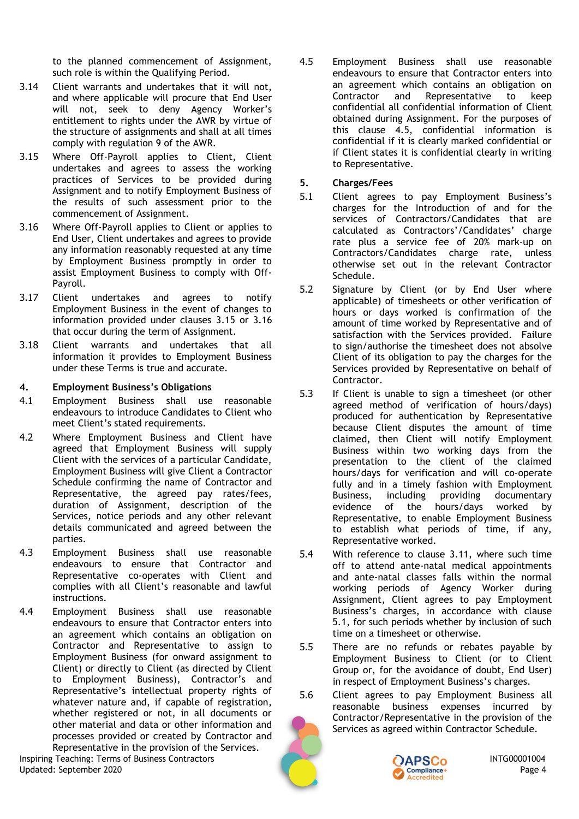to the planned commencement of Assignment, such role is within the Qualifying Period.

- 3.14 Client warrants and undertakes that it will not, and where applicable will procure that End User will not, seek to deny Agency Worker's entitlement to rights under the AWR by virtue of the structure of assignments and shall at all times comply with regulation 9 of the AWR.
- <span id="page-3-0"></span>3.15 Where Off-Payroll applies to Client, Client undertakes and agrees to assess the working practices of Services to be provided during Assignment and to notify Employment Business of the results of such assessment prior to the commencement of Assignment.
- <span id="page-3-1"></span>3.16 Where Off-Payroll applies to Client or applies to End User, Client undertakes and agrees to provide any information reasonably requested at any time by Employment Business promptly in order to assist Employment Business to comply with Off-Payroll.
- <span id="page-3-5"></span><span id="page-3-4"></span>3.17 Client undertakes and agrees to notify Employment Business in the event of changes to information provided under clauses [3.15](#page-3-0) or [3.16](#page-3-1) that occur during the term of Assignment.
- 3.18 Client warrants and undertakes that all information it provides to Employment Business under these Terms is true and accurate.

#### **4. Employment Business's Obligations**

- 4.1 Employment Business shall use reasonable endeavours to introduce Candidates to Client who meet Client's stated requirements.
- 4.2 Where Employment Business and Client have agreed that Employment Business will supply Client with the services of a particular Candidate, Employment Business will give Client a Contractor Schedule confirming the name of Contractor and Representative, the agreed pay rates/fees, duration of Assignment, description of the Services, notice periods and any other relevant details communicated and agreed between the parties.
- 4.3 Employment Business shall use reasonable endeavours to ensure that Contractor and Representative co-operates with Client and complies with all Client's reasonable and lawful instructions.
- 4.4 Employment Business shall use reasonable endeavours to ensure that Contractor enters into an agreement which contains an obligation on Contractor and Representative to assign to Employment Business (for onward assignment to Client) or directly to Client (as directed by Client to Employment Business), Contractor's and Representative's intellectual property rights of whatever nature and, if capable of registration, whether registered or not, in all documents or other material and data or other information and processes provided or created by Contractor and Representative in the provision of the Services.

Inspiring Teaching: Terms of Business Contractors **INTG00001004 CAPSCo** INTG00001004 Updated: September 2020 Page 4

<span id="page-3-2"></span>4.5 Employment Business shall use reasonable endeavours to ensure that Contractor enters into an agreement which contains an obligation on Contractor and Representative to keep confidential all confidential information of Client obtained during Assignment. For the purposes of this clause [4.5,](#page-3-2) confidential information is confidential if it is clearly marked confidential or if Client states it is confidential clearly in writing to Representative.

#### **5. Charges/Fees**

- <span id="page-3-3"></span>5.1 Client agrees to pay Employment Business's charges for the Introduction of and for the services of Contractors/Candidates that are calculated as Contractors'/Candidates' charge rate plus a service fee of 20% mark-up on Contractors/Candidates charge rate, unless otherwise set out in the relevant Contractor Schedule.
- 5.2 Signature by Client (or by End User where applicable) of timesheets or other verification of hours or days worked is confirmation of the amount of time worked by Representative and of satisfaction with the Services provided. Failure to sign/authorise the timesheet does not absolve Client of its obligation to pay the charges for the Services provided by Representative on behalf of Contractor.
- 5.3 If Client is unable to sign a timesheet (or other agreed method of verification of hours/days) produced for authentication by Representative because Client disputes the amount of time claimed, then Client will notify Employment Business within two working days from the presentation to the client of the claimed hours/days for verification and will co-operate fully and in a timely fashion with Employment Business, including providing documentary evidence of the hours/days worked by Representative, to enable Employment Business to establish what periods of time, if any, Representative worked.
- 5.4 With reference to clause [3.11,](#page-2-1) where such time off to attend ante-natal medical appointments and ante-natal classes falls within the normal working periods of Agency Worker during Assignment, Client agrees to pay Employment Business's charges, in accordance with clause [5.1,](#page-3-3) for such periods whether by inclusion of such time on a timesheet or otherwise.
- <span id="page-3-6"></span>5.5 There are no refunds or rebates payable by Employment Business to Client (or to Client Group or, for the avoidance of doubt, End User) in respect of Employment Business's charges.
- <span id="page-3-7"></span>5.6 Client agrees to pay Employment Business all reasonable business expenses incurred by Contractor/Representative in the provision of the Services as agreed within Contractor Schedule.

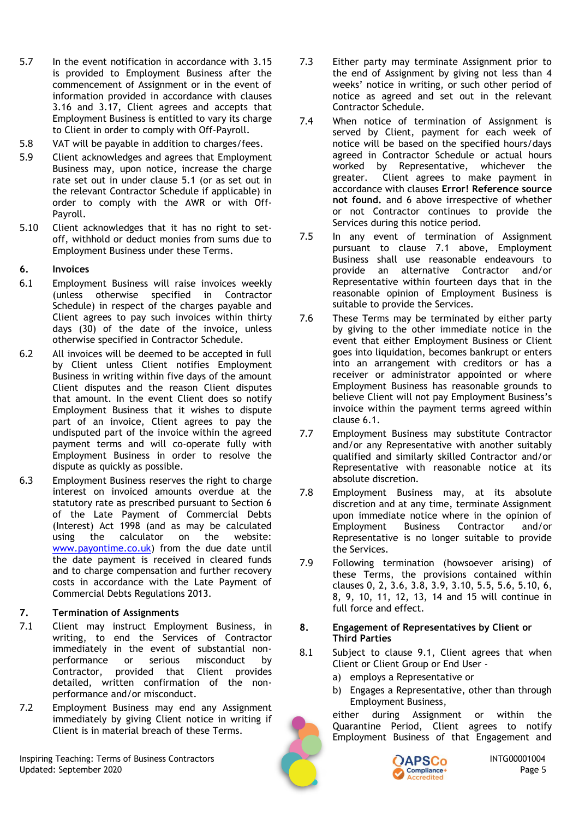- 5.7 In the event notification in accordance with [3.15](#page-3-0) is provided to Employment Business after the commencement of Assignment or in the event of information provided in accordance with clauses [3.16](#page-3-4) and [3.17,](#page-3-5) Client agrees and accepts that Employment Business is entitled to vary its charge to Client in order to comply with Off-Payroll.
- 5.8 VAT will be payable in addition to charges/fees.
- 5.9 Client acknowledges and agrees that Employment Business may, upon notice, increase the charge rate set out in under clause [5.1](#page-3-3) (or as set out in the relevant Contractor Schedule if applicable) in order to comply with the AWR or with Off-Payroll.
- <span id="page-4-3"></span>5.10 Client acknowledges that it has no right to setoff, withhold or deduct monies from sums due to Employment Business under these Terms.
- <span id="page-4-0"></span>**6. Invoices**
- <span id="page-4-2"></span>6.1 Employment Business will raise invoices weekly (unless otherwise specified in Contractor Schedule) in respect of the charges payable and Client agrees to pay such invoices within thirty days (30) of the date of the invoice, unless otherwise specified in Contractor Schedule.
- 6.2 All invoices will be deemed to be accepted in full by Client unless Client notifies Employment Business in writing within five days of the amount Client disputes and the reason Client disputes that amount. In the event Client does so notify Employment Business that it wishes to dispute part of an invoice, Client agrees to pay the undisputed part of the invoice within the agreed payment terms and will co-operate fully with Employment Business in order to resolve the dispute as quickly as possible.
- 6.3 Employment Business reserves the right to charge interest on invoiced amounts overdue at the statutory rate as prescribed pursuant to Section 6 of the Late Payment of Commercial Debts (Interest) Act 1998 (and as may be calculated using the calculator on the website: [www.payontime.co.uk\)](http://www.payontime.co.uk/) from the due date until the date payment is received in cleared funds and to charge compensation and further recovery costs in accordance with the Late Payment of Commercial Debts Regulations 2013.

#### **7. Termination of Assignments**

- <span id="page-4-1"></span>7.1 Client may instruct Employment Business, in writing, to end the Services of Contractor immediately in the event of substantial nonperformance or serious misconduct by Contractor, provided that Client provides detailed, written confirmation of the nonperformance and/or misconduct.
- 7.2 Employment Business may end any Assignment immediately by giving Client notice in writing if Client is in material breach of these Terms.

Inspiring Teaching: Terms of Business Contractors **INTG00001004 CAPSCo** INTG00001004 Updated: September 2020 Page 5

- <span id="page-4-6"></span>7.3 Either party may terminate Assignment prior to the end of Assignment by giving not less than 4 weeks' notice in writing, or such other period of notice as agreed and set out in the relevant Contractor Schedule.
- 7.4 When notice of termination of Assignment is served by Client, payment for each week of notice will be based on the specified hours/days agreed in Contractor Schedule or actual hours worked by Representative, whichever the greater. Client agrees to make payment in accordance with clauses **Error! Reference source not found.** and [6](#page-4-0) above irrespective of whether or not Contractor continues to provide the Services during this notice period.
- 7.5 In any event of termination of Assignment pursuant to clause [7.1 above,](#page-4-1) Employment Business shall use reasonable endeavours to provide an alternative Contractor and/or Representative within fourteen days that in the reasonable opinion of Employment Business is suitable to provide the Services.
- 7.6 These Terms may be terminated by either party by giving to the other immediate notice in the event that either Employment Business or Client goes into liquidation, becomes bankrupt or enters into an arrangement with creditors or has a receiver or administrator appointed or where Employment Business has reasonable grounds to believe Client will not pay Employment Business's invoice within the payment terms agreed within clause [6.1.](#page-4-2)
- 7.7 Employment Business may substitute Contractor and/or any Representative with another suitably qualified and similarly skilled Contractor and/or Representative with reasonable notice at its absolute discretion.
- 7.8 Employment Business may, at its absolute discretion and at any time, terminate Assignment upon immediate notice where in the opinion of Employment Business Contractor and/or Representative is no longer suitable to provide the Services.
- 7.9 Following termination (howsoever arising) of these Terms, the provisions contained within clauses [0,](#page-0-0) [2,](#page-1-0) [3.6,](#page-2-2) [3.8,](#page-2-3) [3.9,](#page-2-0) [3.10,](#page-2-4) [5.5,](#page-3-6) [5.6,](#page-3-7) [5.10,](#page-4-3) [6,](#page-4-0) [8,](#page-4-4) [9,](#page-5-0) [10,](#page-5-1) [11,](#page-6-0) [12,](#page-6-1) [13,](#page-7-0) [14](#page-7-1) and [15](#page-7-2) will continue in full force and effect.

#### <span id="page-4-4"></span>**8. Engagement of Representatives by Client or Third Parties**

- <span id="page-4-5"></span>8.1 Subject to clause [9.1,](#page-5-2) Client agrees that when Client or Client Group or End User
	- a) employs a Representative or
	- b) Engages a Representative, other than through Employment Business,

either during Assignment or within the Quarantine Period, Client agrees to notify Employment Business of that Engagement and

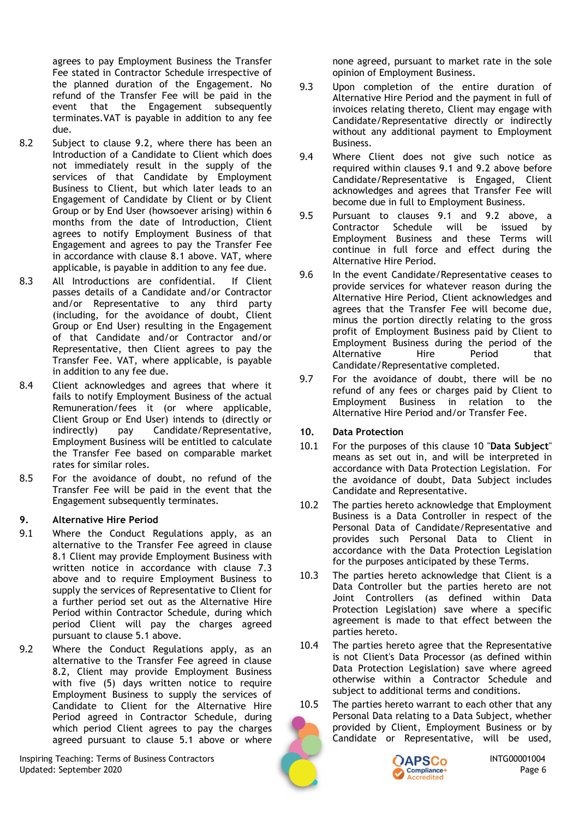agrees to pay Employment Business the Transfer Fee stated in Contractor Schedule irrespective of the planned duration of the Engagement. No refund of the Transfer Fee will be paid in the event that the Engagement subsequently terminates.VAT is payable in addition to any fee due.

- <span id="page-5-4"></span>8.2 Subject to clause [9.2,](#page-5-3) where there has been an Introduction of a Candidate to Client which does not immediately result in the supply of the services of that Candidate by Employment Business to Client, but which later leads to an Engagement of Candidate by Client or by Client Group or by End User (howsoever arising) within 6 months from the date of Introduction, Client agrees to notify Employment Business of that Engagement and agrees to pay the Transfer Fee in accordance with clause [8.1](#page-4-5) above. VAT, where applicable, is payable in addition to any fee due.
- 8.3 All Introductions are confidential. If Client passes details of a Candidate and/or Contractor and/or Representative to any third party (including, for the avoidance of doubt, Client Group or End User) resulting in the Engagement of that Candidate and/or Contractor and/or Representative, then Client agrees to pay the Transfer Fee. VAT, where applicable, is payable in addition to any fee due.
- 8.4 Client acknowledges and agrees that where it fails to notify Employment Business of the actual Remuneration/fees it (or where applicable, Client Group or End User) intends to (directly or indirectly) pay Candidate/Representative, Employment Business will be entitled to calculate the Transfer Fee based on comparable market rates for similar roles.
- 8.5 For the avoidance of doubt, no refund of the Transfer Fee will be paid in the event that the Engagement subsequently terminates.

#### <span id="page-5-0"></span>**9. Alternative Hire Period**

- <span id="page-5-2"></span>9.1 Where the Conduct Regulations apply, as an alternative to the Transfer Fee agreed in clause [8.1](#page-4-5) Client may provide Employment Business with written notice in accordance with clause [7.3](#page-4-6) above and to require Employment Business to supply the services of Representative to Client for a further period set out as the Alternative Hire Period within Contractor Schedule, during which period Client will pay the charges agreed pursuant to clause [5.1](#page-3-3) above.
- <span id="page-5-3"></span>9.2 Where the Conduct Regulations apply, as an alternative to the Transfer Fee agreed in clause [8.2,](#page-5-4) Client may provide Employment Business with five (5) days written notice to require Employment Business to supply the services of Candidate to Client for the Alternative Hire Period agreed in Contractor Schedule, during which period Client agrees to pay the charges agreed pursuant to clause [5.1](#page-3-3) above or where

Inspiring Teaching: Terms of Business Contractors **Inspiring Teaching: Terms** of Business Contractors **INTG00001004** Updated: September 2020 Page 6

none agreed, pursuant to market rate in the sole opinion of Employment Business.

- 9.3 Upon completion of the entire duration of Alternative Hire Period and the payment in full of invoices relating thereto, Client may engage with Candidate/Representative directly or indirectly without any additional payment to Employment Business.
- 9.4 Where Client does not give such notice as required within clauses [9.1](#page-5-2) and [9.2 above](#page-5-3) before Candidate/Representative is Engaged, Client acknowledges and agrees that Transfer Fee will become due in full to Employment Business.
- 9.5 Pursuant to clauses [9.1](#page-5-2) and [9.2](#page-5-3) above, a Contractor Schedule will be issued by Employment Business and these Terms will continue in full force and effect during the Alternative Hire Period.
- 9.6 In the event Candidate/Representative ceases to provide services for whatever reason during the Alternative Hire Period, Client acknowledges and agrees that the Transfer Fee will become due, minus the portion directly relating to the gross profit of Employment Business paid by Client to Employment Business during the period of the Alternative Hire Period that Candidate/Representative completed.
- 9.7 For the avoidance of doubt, there will be no refund of any fees or charges paid by Client to Employment Business in relation to the Alternative Hire Period and/or Transfer Fee.

#### <span id="page-5-1"></span>**10. Data Protection**

- 10.1 For the purposes of this clause [10](#page-5-1) "**Data Subject**" means as set out in, and will be interpreted in accordance with Data Protection Legislation. For the avoidance of doubt, Data Subject includes Candidate and Representative.
- 10.2 The parties hereto acknowledge that Employment Business is a Data Controller in respect of the Personal Data of Candidate/Representative and provides such Personal Data to Client in accordance with the Data Protection Legislation for the purposes anticipated by these Terms.
- 10.3 The parties hereto acknowledge that Client is a Data Controller but the parties hereto are not Joint Controllers (as defined within Data Protection Legislation) save where a specific agreement is made to that effect between the parties hereto.
- 10.4 The parties hereto agree that the Representative is not Client's Data Processor (as defined within Data Protection Legislation) save where agreed otherwise within a Contractor Schedule and subject to additional terms and conditions.
- 10.5 The parties hereto warrant to each other that any Personal Data relating to a Data Subject, whether provided by Client, Employment Business or by Candidate or Representative, will be used,

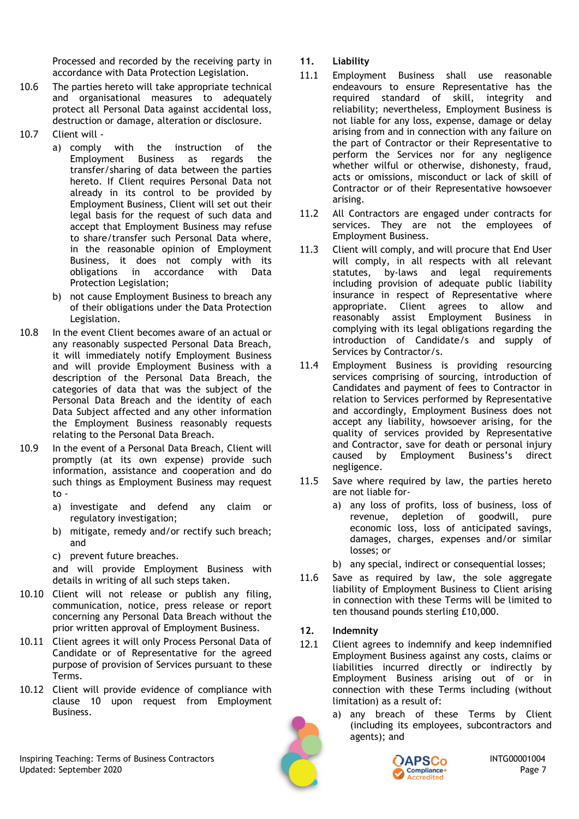Processed and recorded by the receiving party in accordance with Data Protection Legislation.

- 10.6 The parties hereto will take appropriate technical and organisational measures to adequately protect all Personal Data against accidental loss, destruction or damage, alteration or disclosure.
- 10.7 Client will
	- a) comply with the instruction of the Employment Business as regards the transfer/sharing of data between the parties hereto. If Client requires Personal Data not already in its control to be provided by Employment Business, Client will set out their legal basis for the request of such data and accept that Employment Business may refuse to share/transfer such Personal Data where, in the reasonable opinion of Employment Business, it does not comply with its obligations in accordance with Data Protection Legislation;
	- b) not cause Employment Business to breach any of their obligations under the Data Protection Legislation.
- 10.8 In the event Client becomes aware of an actual or any reasonably suspected Personal Data Breach, it will immediately notify Employment Business and will provide Employment Business with a description of the Personal Data Breach, the categories of data that was the subject of the Personal Data Breach and the identity of each Data Subject affected and any other information the Employment Business reasonably requests relating to the Personal Data Breach.
- 10.9 In the event of a Personal Data Breach, Client will promptly (at its own expense) provide such information, assistance and cooperation and do such things as Employment Business may request to
	- a) investigate and defend any claim or regulatory investigation;
	- b) mitigate, remedy and/or rectify such breach; and
	- c) prevent future breaches.

and will provide Employment Business with details in writing of all such steps taken.

- 10.10 Client will not release or publish any filing, communication, notice, press release or report concerning any Personal Data Breach without the prior written approval of Employment Business.
- 10.11 Client agrees it will only Process Personal Data of Candidate or of Representative for the agreed purpose of provision of Services pursuant to these Terms.
- 10.12 Client will provide evidence of compliance with clause [10](#page-5-1) upon request from Employment Business.

## <span id="page-6-0"></span>**11. Liability**

- 11.1 Employment Business shall use reasonable endeavours to ensure Representative has the required standard of skill, integrity and reliability; nevertheless, Employment Business is not liable for any loss, expense, damage or delay arising from and in connection with any failure on the part of Contractor or their Representative to perform the Services nor for any negligence whether wilful or otherwise, dishonesty, fraud, acts or omissions, misconduct or lack of skill of Contractor or of their Representative howsoever arising.
- 11.2 All Contractors are engaged under contracts for services. They are not the employees of Employment Business.
- 11.3 Client will comply, and will procure that End User will comply, in all respects with all relevant statutes, by-laws and legal requirements including provision of adequate public liability insurance in respect of Representative where appropriate. Client agrees to allow and reasonably assist Employment Business in complying with its legal obligations regarding the introduction of Candidate/s and supply of Services by Contractor/s.
- 11.4 Employment Business is providing resourcing services comprising of sourcing, introduction of Candidates and payment of fees to Contractor in relation to Services performed by Representative and accordingly, Employment Business does not accept any liability, howsoever arising, for the quality of services provided by Representative and Contractor, save for death or personal injury caused by Employment Business's direct negligence.
- 11.5 Save where required by law, the parties hereto are not liable for
	- a) any loss of profits, loss of business, loss of revenue, depletion of goodwill, pure economic loss, loss of anticipated savings, damages, charges, expenses and/or similar losses; or
	- b) any special, indirect or consequential losses;
- 11.6 Save as required by law, the sole aggregate liability of Employment Business to Client arising in connection with these Terms will be limited to ten thousand pounds sterling £10,000.

## <span id="page-6-1"></span>**12. Indemnity**

- 12.1 Client agrees to indemnify and keep indemnified Employment Business against any costs, claims or liabilities incurred directly or indirectly by Employment Business arising out of or in connection with these Terms including (without limitation) as a result of:
	- a) any breach of these Terms by Client (including its employees, subcontractors and agents); and



Inspiring Teaching: Terms of Business Contractors **INTG00001004 CAPSCo** INTG00001004 Updated: September 2020 Page 7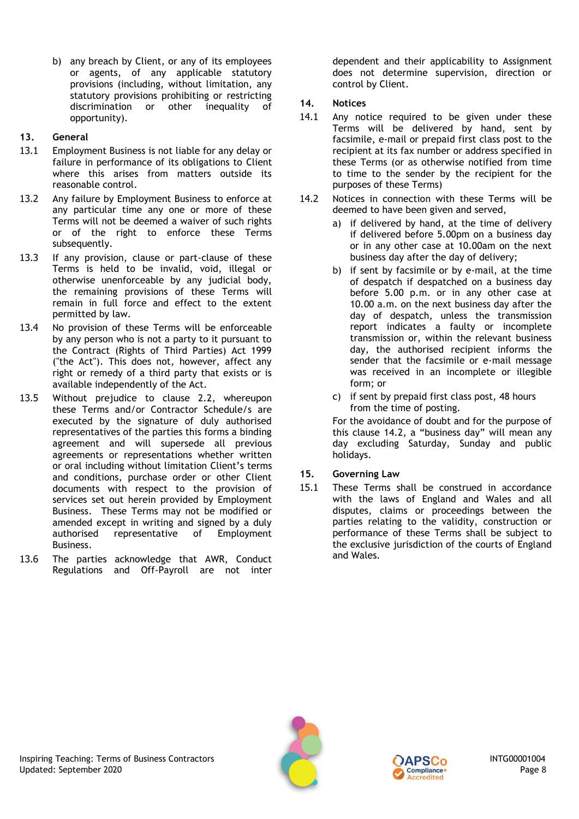b) any breach by Client, or any of its employees or agents, of any applicable statutory provisions (including, without limitation, any statutory provisions prohibiting or restricting discrimination or other inequality of opportunity).

## <span id="page-7-0"></span>**13. General**

- 13.1 Employment Business is not liable for any delay or failure in performance of its obligations to Client where this arises from matters outside its reasonable control.
- 13.2 Any failure by Employment Business to enforce at any particular time any one or more of these Terms will not be deemed a waiver of such rights or of the right to enforce these Terms subsequently.
- 13.3 If any provision, clause or part-clause of these Terms is held to be invalid, void, illegal or otherwise unenforceable by any judicial body, the remaining provisions of these Terms will remain in full force and effect to the extent permitted by law.
- 13.4 No provision of these Terms will be enforceable by any person who is not a party to it pursuant to the Contract (Rights of Third Parties) Act 1999 ("the Act"). This does not, however, affect any right or remedy of a third party that exists or is available independently of the Act.
- 13.5 Without prejudice to clause [2.2,](#page-1-1) whereupon these Terms and/or Contractor Schedule/s are executed by the signature of duly authorised representatives of the parties this forms a binding agreement and will supersede all previous agreements or representations whether written or oral including without limitation Client's terms and conditions, purchase order or other Client documents with respect to the provision of services set out herein provided by Employment Business. These Terms may not be modified or amended except in writing and signed by a duly authorised representative of Employment Business.
- 13.6 The parties acknowledge that AWR, Conduct Regulations and Off-Payroll are not inter

dependent and their applicability to Assignment does not determine supervision, direction or control by Client.

## <span id="page-7-1"></span>**14. Notices**

- 14.1 Any notice required to be given under these Terms will be delivered by hand, sent by facsimile, e-mail or prepaid first class post to the recipient at its fax number or address specified in these Terms (or as otherwise notified from time to time to the sender by the recipient for the purposes of these Terms)
- <span id="page-7-3"></span>14.2 Notices in connection with these Terms will be deemed to have been given and served,
	- a) if delivered by hand, at the time of delivery if delivered before 5.00pm on a business day or in any other case at 10.00am on the next business day after the day of delivery;
	- b) if sent by facsimile or by e-mail, at the time of despatch if despatched on a business day before 5.00 p.m. or in any other case at 10.00 a.m. on the next business day after the day of despatch, unless the transmission report indicates a faulty or incomplete transmission or, within the relevant business day, the authorised recipient informs the sender that the facsimile or e-mail message was received in an incomplete or illegible form; or
	- c) if sent by prepaid first class post, 48 hours from the time of posting.

For the avoidance of doubt and for the purpose of this clause [14.2](#page-7-3), a "business day" will mean any day excluding Saturday, Sunday and public holidays.

## <span id="page-7-2"></span>**15. Governing Law**

15.1 These Terms shall be construed in accordance with the laws of England and Wales and all disputes, claims or proceedings between the parties relating to the validity, construction or performance of these Terms shall be subject to the exclusive jurisdiction of the courts of England and Wales.



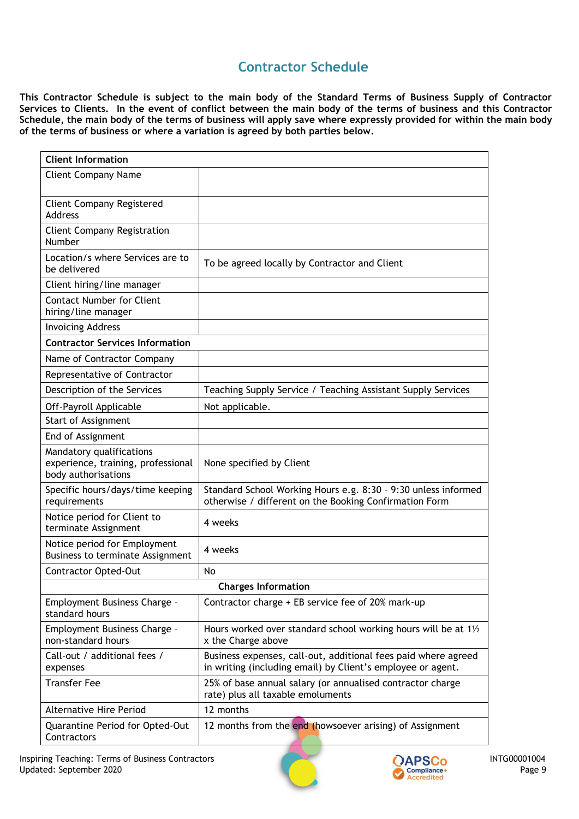## **Contractor Schedule**

**This Contractor Schedule is subject to the main body of the Standard Terms of Business Supply of Contractor Services to Clients. In the event of conflict between the main body of the terms of business and this Contractor Schedule, the main body of the terms of business will apply save where expressly provided for within the main body of the terms of business or where a variation is agreed by both parties below.**

| <b>Client Information</b>                                                             |                                                                                                                               |  |
|---------------------------------------------------------------------------------------|-------------------------------------------------------------------------------------------------------------------------------|--|
| <b>Client Company Name</b>                                                            |                                                                                                                               |  |
| <b>Client Company Registered</b><br>Address                                           |                                                                                                                               |  |
| <b>Client Company Registration</b><br><b>Number</b>                                   |                                                                                                                               |  |
| Location/s where Services are to<br>be delivered                                      | To be agreed locally by Contractor and Client                                                                                 |  |
| Client hiring/line manager                                                            |                                                                                                                               |  |
| <b>Contact Number for Client</b><br>hiring/line manager                               |                                                                                                                               |  |
| <b>Invoicing Address</b>                                                              |                                                                                                                               |  |
| <b>Contractor Services Information</b>                                                |                                                                                                                               |  |
| Name of Contractor Company                                                            |                                                                                                                               |  |
| Representative of Contractor                                                          |                                                                                                                               |  |
| Description of the Services                                                           | Teaching Supply Service / Teaching Assistant Supply Services                                                                  |  |
| Off-Payroll Applicable                                                                | Not applicable.                                                                                                               |  |
| Start of Assignment                                                                   |                                                                                                                               |  |
| End of Assignment                                                                     |                                                                                                                               |  |
| Mandatory qualifications<br>experience, training, professional<br>body authorisations | None specified by Client                                                                                                      |  |
| Specific hours/days/time keeping<br>requirements                                      | Standard School Working Hours e.g. 8:30 - 9:30 unless informed<br>otherwise / different on the Booking Confirmation Form      |  |
| Notice period for Client to<br>terminate Assignment                                   | 4 weeks                                                                                                                       |  |
| Notice period for Employment<br>Business to terminate Assignment                      | 4 weeks                                                                                                                       |  |
| <b>Contractor Opted-Out</b>                                                           | No                                                                                                                            |  |
| <b>Charges Information</b>                                                            |                                                                                                                               |  |
| Employment Business Charge -<br>standard hours                                        | Contractor charge + EB service fee of 20% mark-up                                                                             |  |
| Employment Business Charge -<br>non-standard hours                                    | Hours worked over standard school working hours will be at 1 <sup>1</sup> / <sub>2</sub><br>x the Charge above                |  |
| Call-out / additional fees /<br>expenses                                              | Business expenses, call-out, additional fees paid where agreed<br>in writing (including email) by Client's employee or agent. |  |
| <b>Transfer Fee</b>                                                                   | 25% of base annual salary (or annualised contractor charge<br>rate) plus all taxable emoluments                               |  |
| <b>Alternative Hire Period</b>                                                        | 12 months                                                                                                                     |  |
| Quarantine Period for Opted-Out<br>Contractors                                        | 12 months from the end (howsoever arising) of Assignment                                                                      |  |